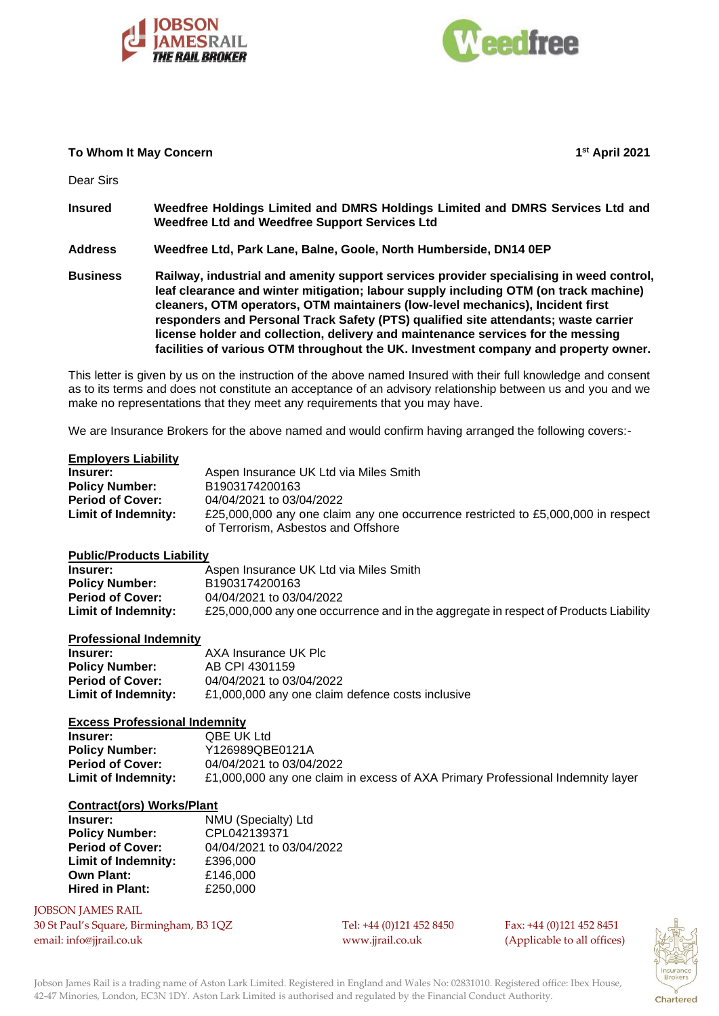



## **To Whom It May Concern 1**

**st April 2021**

Dear Sirs

- **Insured Weedfree Holdings Limited and DMRS Holdings Limited and DMRS Services Ltd and Weedfree Ltd and Weedfree Support Services Ltd**
- **Address Weedfree Ltd, Park Lane, Balne, Goole, North Humberside, DN14 0EP**
- **Business Railway, industrial and amenity support services provider specialising in weed control, leaf clearance and winter mitigation; labour supply including OTM (on track machine) cleaners, OTM operators, OTM maintainers (low-level mechanics), Incident first responders and Personal Track Safety (PTS) qualified site attendants; waste carrier license holder and collection, delivery and maintenance services for the messing facilities of various OTM throughout the UK. Investment company and property owner.**

This letter is given by us on the instruction of the above named Insured with their full knowledge and consent as to its terms and does not constitute an acceptance of an advisory relationship between us and you and we make no representations that they meet any requirements that you may have.

We are Insurance Brokers for the above named and would confirm having arranged the following covers:-

## **Employers Liability**

| Insurer:                | Aspen Insurance UK Ltd via Miles Smith                                           |
|-------------------------|----------------------------------------------------------------------------------|
| <b>Policy Number:</b>   | B1903174200163                                                                   |
| <b>Period of Cover:</b> | 04/04/2021 to 03/04/2022                                                         |
| Limit of Indemnity:     | £25,000,000 any one claim any one occurrence restricted to £5,000,000 in respect |
|                         | of Terrorism, Asbestos and Offshore                                              |

# **Public/Products Liability**

| Insurer:                | Aspen Insurance UK Ltd via Miles Smith                                               |
|-------------------------|--------------------------------------------------------------------------------------|
| <b>Policy Number:</b>   | B1903174200163                                                                       |
| <b>Period of Cover:</b> | 04/04/2021 to 03/04/2022                                                             |
| Limit of Indemnity:     | £25,000,000 any one occurrence and in the aggregate in respect of Products Liability |

#### **Professional Indemnity**

| Insurer:                | AXA Insurance UK Plc                             |
|-------------------------|--------------------------------------------------|
| <b>Policy Number:</b>   | AB CPI 4301159                                   |
| <b>Period of Cover:</b> | 04/04/2021 to 03/04/2022                         |
| Limit of Indemnity:     | £1,000,000 any one claim defence costs inclusive |

# **Excess Professional Indemnity**

| Insurer:                | <b>QBE UK Ltd</b>                                                              |
|-------------------------|--------------------------------------------------------------------------------|
| <b>Policy Number:</b>   | Y126989QBE0121A                                                                |
| <b>Period of Cover:</b> | 04/04/2021 to 03/04/2022                                                       |
| Limit of Indemnity:     | £1,000,000 any one claim in excess of AXA Primary Professional Indemnity layer |

### **Contract(ors) Works/Plant**

| NMU (Specialty) Ltd      |
|--------------------------|
| CPL042139371             |
| 04/04/2021 to 03/04/2022 |
| £396,000                 |
| £146,000                 |
| £250,000                 |
|                          |

JOBSON JAMES RAIL 30 St Paul's Square, Birmingham, B3 1QZ Tel: +44 (0)121 452 8450 Fax: +44 (0)121 452 8451 email: info@jjrail.co.uk www.jjrail.co.uk (Applicable to all offices)